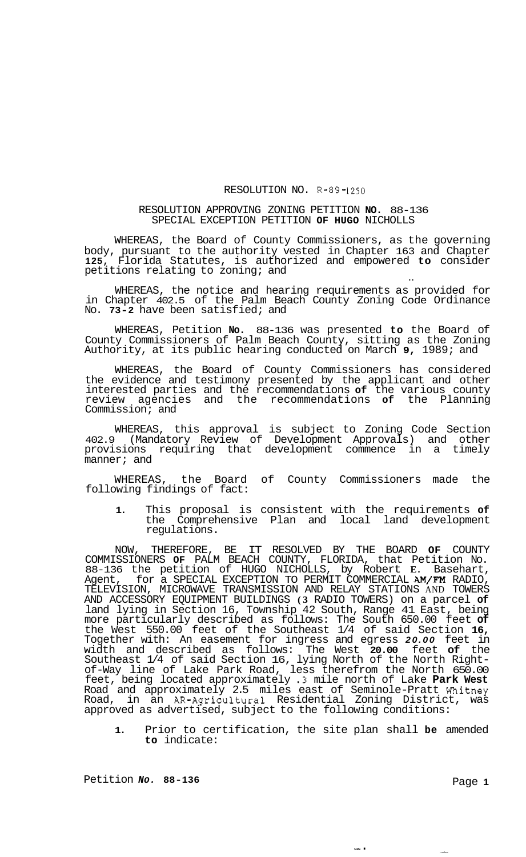## RESOLUTION NO. R-89-1250

## RESOLUTION APPROVING ZONING PETITION **NO.** 88-136 SPECIAL EXCEPTION PETITION **OF HUGO** NICHOLLS

WHEREAS, the Board of County Commissioners, as the governing body, pursuant to the authority vested in Chapter 163 and Chapter **125,** Florida Statutes, is authorized and empowered **to** consider petitions relating to zoning; and

WHEREAS, the notice and hearing requirements as provided for in Chapter 402.5 of the Palm Beach County Zoning Code Ordinance No. **73-2** have been satisfied; and

WHEREAS, Petition **No.** 88-136 was presented **to** the Board of County Commissioners of Palm Beach County, sitting as the Zoning Authority, at its public hearing conducted on March **9,** 1989; and

WHEREAS, the Board of County Commissioners has considered the evidence and testimony presented by the applicant and other interested parties and the recommendations **of** the various county review agencies and the recommendations **of** the Planning Commission; and

WHEREAS, this approval is subject to Zoning Code Section 402.9 (Mandatory Review of Development Approvals) and other provisions requiring that development commence in a timely manner; and

WHEREAS, the Board of County Commissioners made the following findings of fact:

**1.** This proposal is consistent with the requirements **of**  the Comprehensive Plan and local land development regulations.

NOW, THEREFORE, BE IT RESOLVED BY THE BOARD **OF** COUNTY COMMISSIONERS **OF** PALM BEACH COUNTY, FLORIDA, that Petition No. 88-136 the petition of HUGO NICHOLLS, by Robert **E.** Basehart, Agent, for a SPECIAL EXCEPTION TO PERMIT COMMERCIAL **AM/F"** RADIO, TELEVISION, MICROWAVE TRANSMISSION AND RELAY STATIONS AND TOWERS AND ACCESSORY EQUIPMENT BUILDINGS **(3** RADIO TOWERS) on a parcel **of**  land lying in Section 16, Township 42 South, Range 41 East, being more particularly described as follows: The South 650.00 feet **of**  the West 550.00 feet of the Southeast 1/4 of said Section **16,**  Together with: An easement for ingress and egress *20.00* feet in width and described as follows: The West **20.00** feet **of** the Southeast 1/4 of said Section 16, lying North of the North Right- of-Way line of Lake Park Road, less therefrom the North 650.00 feet, being located approximately **.3** mile north of Lake **Park West**  Road and approximately 2.5 miles east of Seminole-Pratt Whitney Road, in an AR-Agricultural Residential Zoning District, was approved as advertised, subject to the following conditions:

**1.** Prior to certification, the site plan shall **be** amended **to** indicate:

Page **1** 

**ir** .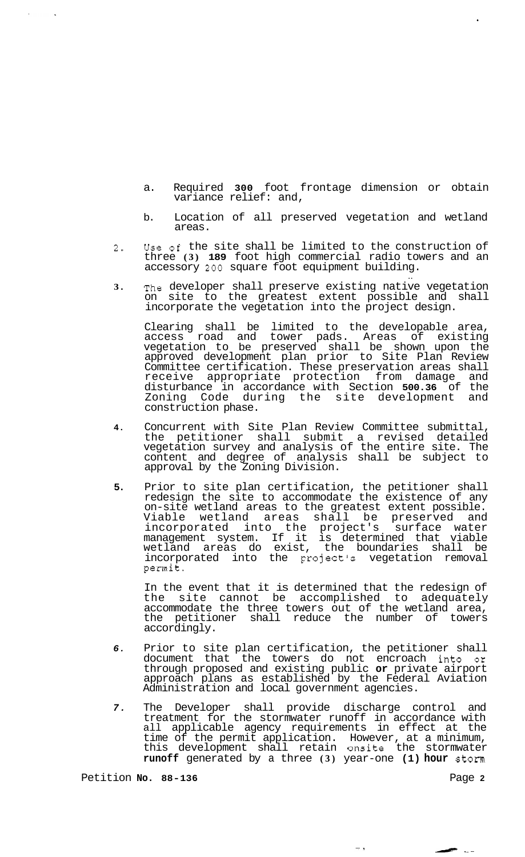- a. Required **300** foot frontage dimension or obtain variance relief: and,
- b. Location of all preserved vegetation and wetland areas.
- **2.** Use of the site shall be limited to the construction of three **(3) 189** foot high commercial radio towers and an accessory **200** square foot equipment building. ..
- **3.** The developer shall preserve existing native vegetation on site to the greatest extent possible and shall incorporate the vegetation into the project design.

Clearing shall be limited to the developable area, access road and tower pads. Areas of existing vegetation to be preserved shall be shown upon the approved development plan prior to Site Plan Review Committee certification. These preservation areas shall<br>receive appropriate protection from damage and receive appropriate protection from damage disturbance in accordance with Section **500.36** of the Zoning Code during the site development and construction phase.

- **4.** Concurrent with Site Plan Review Committee submittal, the petitioner shall submit a revised detailed vegetation survey and analysis of the entire site. The content and degree of analysis shall be subject to approval by the Zoning Division.
- **5.** Prior to site plan certification, the petitioner shall redesign the site to accommodate the existence of any on-site wetland areas to the greatest extent possible. Viable wetland areas shall be preserved and incorporated into the project's surface water management system. If it is determined that viable wetland areas do exist, the boundaries shall be incorporated into the project's vegetation removal permit.

In the event that it is determined that the redesign of the site cannot be accomplished to adequately accommodate the three towers out of the wetland area, the petitioner shall reduce the number of towers accordingly.

- *6.* Prior to site plan certification, the petitioner shall document that the towers do not encroach into **or**  through proposed and existing public **or** private airport approach plans as established by the Federal Aviation Administration and local government agencies.
- *7.* The Developer shall provide discharge control and treatment for the stormwater runoff in accordance with all applicable agency requirements in effect at the time of the permit application. However, at a minimum, this development shall retain onsite the stormwater **runoff** generated by a three **(3)** year-one **(1) hour** storm

Petition **No. 88-136** Page **2** 

.. ...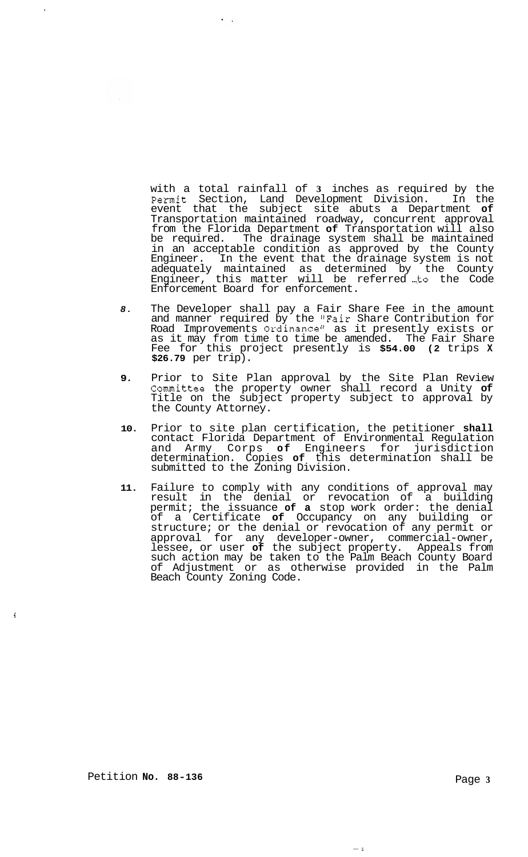with a total rainfall of **3** inches as required by the Permit Section, Land Development Division. In the event that the subject site abuts a Department **of**  Transportation maintained roadway, concurrent approval from the Florida Department **of** Transportation will also be required. The drainage system shall be maintained in an acceptable condition as approved by the County Engineer. In the event that the drainage system is not adequately maintained as determined by the County Engineer, this matter will be referred ... *\$0* the Code Enforcement Board for enforcement.

 $\sim$   $\sim$ 

- *8.* The Developer shall pay a Fair Share Fee in the amount and manner required by the "Fair Share Contribution for Road Improvements Ordinance" as it presently exists or as it may from time to time be amended. The Fair Share Fee for this project presently is **\$54.00 (2** trips **X \$26.79** per trip).
- **9.** Prior to Site Plan approval by the Site Plan Review Committee the property owner shall record a Unity **of**  Title on the subject property subject to approval by the County Attorney.
- **10.** Prior to site plan certification, the petitioner **shall**  contact Florida Department of Environmental Regulation and Army Corps **of** Engineers for jurisdiction determination. Copies **of** this determination shall be submitted to the Zoning Division.
- **11.** Failure to comply with any conditions of approval may result in the denial or revocation of a building permit; the issuance **of a** stop work order: the denial of a Certificate **of** Occupancy on any building or structure; or the denial or revocation of any permit or approval for any developer-owner, commercial-owner, lessee, or user **of** the subject property. Appeals from such action may be taken to the Palm Beach County Board of Adjustment or as otherwise provided in the Palm Beach County Zoning Code.

-;<br>-;

Petition **No. 88-136** 

 $\ddot{\mathbf{f}}$